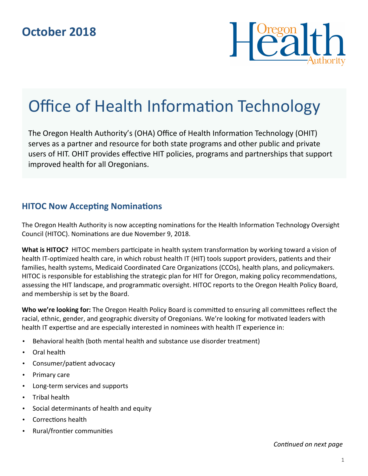

# Office of Health Information Technology

The Oregon Health Authority's (OHA) Office of Health Information Technology (OHIT) serves as a partner and resource for both state programs and other public and private users of HIT. OHIT provides effective HIT policies, programs and partnerships that support improved health for all Oregonians.

### **HITOC Now Accepting Nominations**

The Oregon Health Authority is now accepting nominations for the Health Information Technology Oversight Council (HITOC). Nominations are due November 9, 2018.

**What is HITOC?** HITOC members participate in health system transformation by working toward a vision of health IT-optimized health care, in which robust health IT (HIT) tools support providers, patients and their families, health systems, Medicaid Coordinated Care Organizations (CCOs), health plans, and policymakers. HITOC is responsible for establishing the strategic plan for HIT for Oregon, making policy recommendations, assessing the HIT landscape, and programmatic oversight. HITOC reports to the Oregon Health Policy Board, and membership is set by the Board.

**Who we're looking for:** The Oregon Health Policy Board is committed to ensuring all committees reflect the racial, ethnic, gender, and geographic diversity of Oregonians. We're looking for motivated leaders with health IT expertise and are especially interested in nominees with health IT experience in:

- Behavioral health (both mental health and substance use disorder treatment)
- Oral health
- Consumer/patient advocacy
- Primary care
- Long-term services and supports
- Tribal health
- Social determinants of health and equity
- Corrections health
- Rural/frontier communities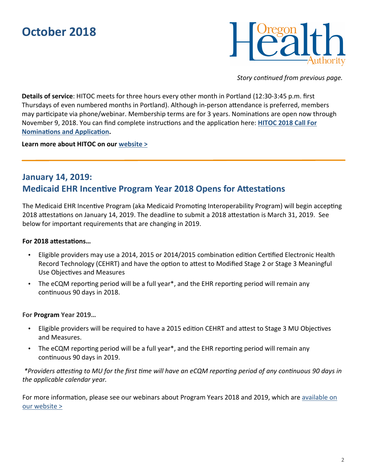# **October 2018**



*Story continued from previous page.* 

**Details of service**: HITOC meets for three hours every other month in Portland (12:30-3:45 p.m. first Thursdays of even numbered months in Portland). Although in-person attendance is preferred, members may participate via phone/webinar. Membership terms are for 3 years. Nominations are open now through November 9, 2018. You can find complete instructions and the application here: **HITOC 2018 Call For Nominations and Application.** 

**Learn more about HITOC on our website >**

## **January 14, 2019: Medicaid EHR Incentive Program Year 2018 Opens for Attestations**

The Medicaid EHR Incentive Program (aka Medicaid Promoting Interoperability Program) will begin accepting 2018 attestations on January 14, 2019. The deadline to submit a 2018 attestation is March 31, 2019. See below for important requirements that are changing in 2019.

### For 2018 attestations...

- Eligible providers may use a 2014, 2015 or 2014/2015 combination edition Certified Electronic Health Record Technology (CEHRT) and have the option to attest to Modified Stage 2 or Stage 3 Meaningful Use Objectives and Measures
- The eCQM reporting period will be a full year\*, and the EHR reporting period will remain any continuous 90 days in 2018.

### **For Program Year 2019…**

- Eligible providers will be required to have a 2015 edition CEHRT and attest to Stage 3 MU Objectives and Measures.
- The eCQM reporting period will be a full year\*, and the EHR reporting period will remain any continuous 90 days in 2019.

\*Providers attesting to MU for the first time will have an eCQM reporting period of any continuous 90 days in *the applicable calendar year.*

For more information, please see our webinars about Program Years 2018 and 2019, which are available on our website >